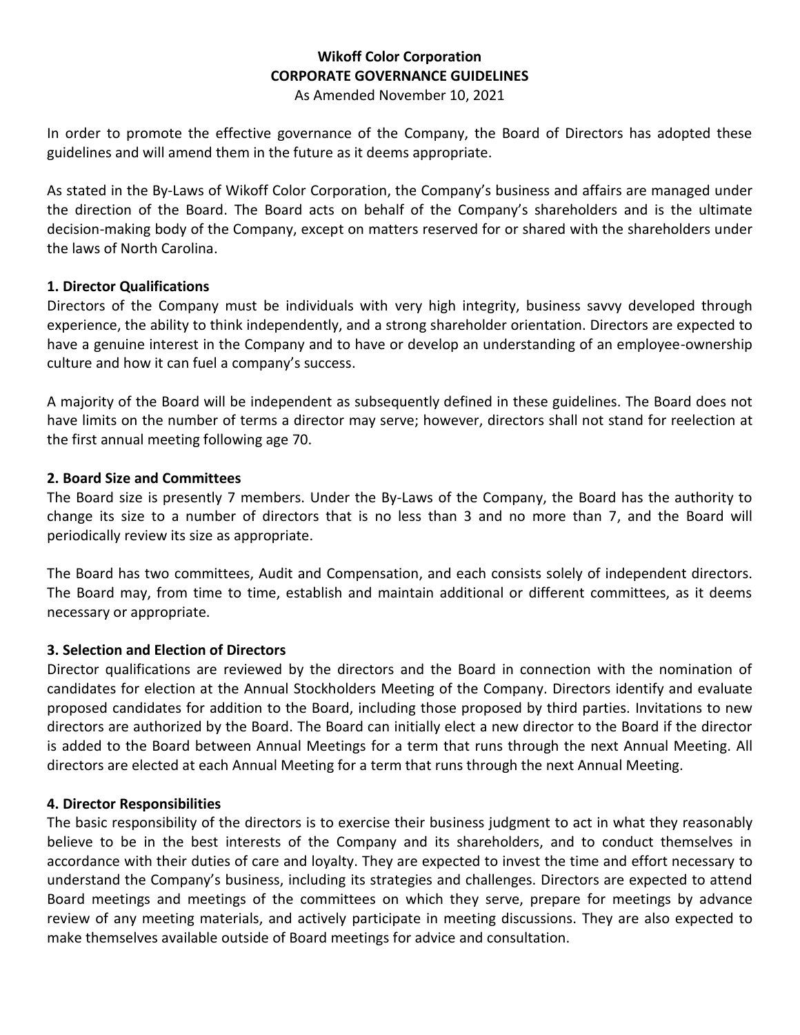# **Wikoff Color Corporation CORPORATE GOVERNANCE GUIDELINES**

As Amended November 10, 2021

In order to promote the effective governance of the Company, the Board of Directors has adopted these guidelines and will amend them in the future as it deems appropriate.

As stated in the By-Laws of Wikoff Color Corporation, the Company's business and affairs are managed under the direction of the Board. The Board acts on behalf of the Company's shareholders and is the ultimate decision-making body of the Company, except on matters reserved for or shared with the shareholders under the laws of North Carolina.

#### **1. Director Qualifications**

Directors of the Company must be individuals with very high integrity, business savvy developed through experience, the ability to think independently, and a strong shareholder orientation. Directors are expected to have a genuine interest in the Company and to have or develop an understanding of an employee-ownership culture and how it can fuel a company's success.

A majority of the Board will be independent as subsequently defined in these guidelines. The Board does not have limits on the number of terms a director may serve; however, directors shall not stand for reelection at the first annual meeting following age 70.

#### **2. Board Size and Committees**

The Board size is presently 7 members. Under the By-Laws of the Company, the Board has the authority to change its size to a number of directors that is no less than 3 and no more than 7, and the Board will periodically review its size as appropriate.

The Board has two committees, Audit and Compensation, and each consists solely of independent directors. The Board may, from time to time, establish and maintain additional or different committees, as it deems necessary or appropriate.

#### **3. Selection and Election of Directors**

Director qualifications are reviewed by the directors and the Board in connection with the nomination of candidates for election at the Annual Stockholders Meeting of the Company. Directors identify and evaluate proposed candidates for addition to the Board, including those proposed by third parties. Invitations to new directors are authorized by the Board. The Board can initially elect a new director to the Board if the director is added to the Board between Annual Meetings for a term that runs through the next Annual Meeting. All directors are elected at each Annual Meeting for a term that runs through the next Annual Meeting.

#### **4. Director Responsibilities**

The basic responsibility of the directors is to exercise their business judgment to act in what they reasonably believe to be in the best interests of the Company and its shareholders, and to conduct themselves in accordance with their duties of care and loyalty. They are expected to invest the time and effort necessary to understand the Company's business, including its strategies and challenges. Directors are expected to attend Board meetings and meetings of the committees on which they serve, prepare for meetings by advance review of any meeting materials, and actively participate in meeting discussions. They are also expected to make themselves available outside of Board meetings for advice and consultation.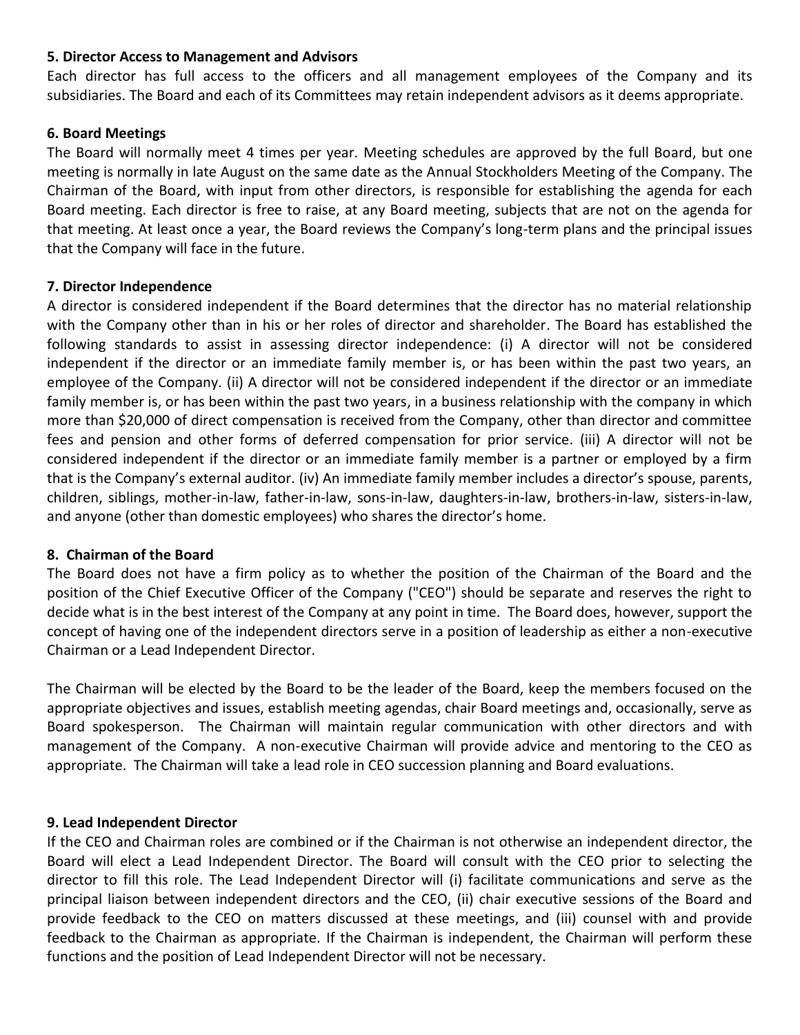#### **5. Director Access to Management and Advisors**

Each director has full access to the officers and all management employees of the Company and its subsidiaries. The Board and each of its Committees may retain independent advisors as it deems appropriate.

#### **6. Board Meetings**

The Board will normally meet 4 times per year. Meeting schedules are approved by the full Board, but one meeting is normally in late August on the same date as the Annual Stockholders Meeting of the Company. The Chairman of the Board, with input from other directors, is responsible for establishing the agenda for each Board meeting. Each director is free to raise, at any Board meeting, subjects that are not on the agenda for that meeting. At least once a year, the Board reviews the Company's long-term plans and the principal issues that the Company will face in the future.

#### **7. Director Independence**

A director is considered independent if the Board determines that the director has no material relationship with the Company other than in his or her roles of director and shareholder. The Board has established the following standards to assist in assessing director independence: (i) A director will not be considered independent if the director or an immediate family member is, or has been within the past two years, an employee of the Company. (ii) A director will not be considered independent if the director or an immediate family member is, or has been within the past two years, in a business relationship with the company in which more than \$20,000 of direct compensation is received from the Company, other than director and committee fees and pension and other forms of deferred compensation for prior service. (iii) A director will not be considered independent if the director or an immediate family member is a partner or employed by a firm that is the Company's external auditor. (iv) An immediate family member includes a director's spouse, parents, children, siblings, mother-in-law, father-in-law, sons-in-law, daughters-in-law, brothers-in-law, sisters-in-law, and anyone (other than domestic employees) who shares the director's home.

#### **8. Chairman of the Board**

The Board does not have a firm policy as to whether the position of the Chairman of the Board and the position of the Chief Executive Officer of the Company ("CEO") should be separate and reserves the right to decide what is in the best interest of the Company at any point in time. The Board does, however, support the concept of having one of the independent directors serve in a position of leadership as either a non-executive Chairman or a Lead Independent Director.

The Chairman will be elected by the Board to be the leader of the Board, keep the members focused on the appropriate objectives and issues, establish meeting agendas, chair Board meetings and, occasionally, serve as Board spokesperson. The Chairman will maintain regular communication with other directors and with management of the Company. A non-executive Chairman will provide advice and mentoring to the CEO as appropriate. The Chairman will take a lead role in CEO succession planning and Board evaluations.

#### **9. Lead Independent Director**

If the CEO and Chairman roles are combined or if the Chairman is not otherwise an independent director, the Board will elect a Lead Independent Director. The Board will consult with the CEO prior to selecting the director to fill this role. The Lead Independent Director will (i) facilitate communications and serve as the principal liaison between independent directors and the CEO, (ii) chair executive sessions of the Board and provide feedback to the CEO on matters discussed at these meetings, and (iii) counsel with and provide feedback to the Chairman as appropriate. If the Chairman is independent, the Chairman will perform these functions and the position of Lead Independent Director will not be necessary.